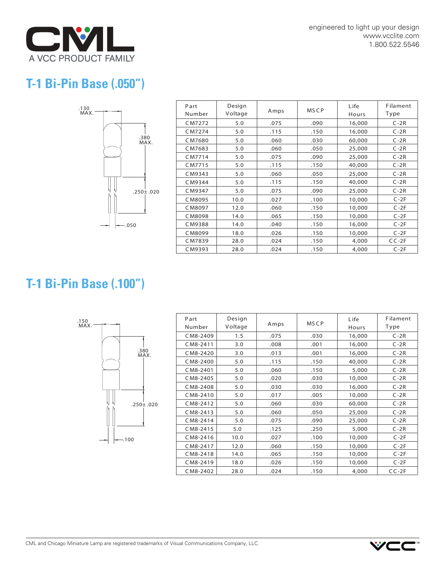

engineered to light up your design www.vcclite.com 1.800.522.5546

## **T-1 Bi-Pin Base (.050")**



| Part<br>Number | Design<br>Voltage | Amps | <b>MSCP</b> | Life<br>Hours | Filament<br>Type |
|----------------|-------------------|------|-------------|---------------|------------------|
| CM7272         | 5.0               | .075 | .090        | 16,000        | $C-2R$           |
| CM7274         | 5.0               | .115 | .150        | 16,000        | $C-2R$           |
| CM7680         | 5.0               | .060 | .030        | 60,000        | $C-2R$           |
| CM7683         | 5.0               | .060 | .050        | 25,000        | $C-2R$           |
| CM7714         | 5.0               | .075 | .090        | 25,000        | $C-2R$           |
| CM7715         | 5.0               | .115 | .150        | 40,000        | $C-2R$           |
| CM9343         | 5.0               | .060 | .050        | 25,000        | $C-2R$           |
| CM9344         | 5.0               | .115 | .150        | 40,000        | $C-2R$           |
| CM9347         | 5.0               | .075 | .090        | 25,000        | $C-2R$           |
| CM8095         | 10.0              | .027 | .100        | 10,000        | $C-2F$           |
| CM8097         | 12.0              | .060 | .150        | 10,000        | $C-2F$           |
| CM8098         | 14.0              | .065 | .150        | 10,000        | $C-2F$           |
| CM9388         | 14.0              | .040 | .150        | 16,000        | $C-2F$           |
| CM8099         | 18.0              | .026 | .150        | 10,000        | $C-2F$           |
| CM7839         | 28.0              | .024 | .150        | 4,000         | $CC-2F$          |
| CM9393         | 28.0              | .024 | .150        | 4,000         | $C-2F$           |

## **T-1 Bi-Pin Base (.100")**



| Part<br>Number | Design<br>Voltage | Amps | <b>MSCP</b> | Life<br>Hours | Filament<br>Type |
|----------------|-------------------|------|-------------|---------------|------------------|
| CM8-2409       | 1.5               | .075 | .030        | 16,000        | $C-2R$           |
| CM8-2411       | 3.0               | .008 | .001        | 16,000        | $C-2R$           |
| CM8-2420       | 3.0               | .013 | .001        | 16,000        | $C-2R$           |
| CM8-2400       | 5.0               | .115 | .150        | 40,000        | $C-2R$           |
| CM8-2401       | 5.0               | .060 | .150        | 5,000         | $C-2R$           |
| CM8-2405       | 5.0               | .020 | .030        | 10,000        | $C-2R$           |
| CM8-2408       | 5.0               | .030 | .030        | 16,000        | $C-2R$           |
| CM8-2410       | 5.0               | .017 | .005        | 10,000        | $C-2R$           |
| CM8-2412       | 5.0               | .060 | .030        | 60,000        | $C-2R$           |
| CM8-2413       | 5.0               | .060 | .050        | 25,000        | $C-2R$           |
| CM8-2414       | 5.0               | .075 | .090        | 25,000        | $C-2R$           |
| CM8-2415       | 5.0               | .125 | .250        | 5,000         | $C-2R$           |
| CM8-2416       | 10.0              | .027 | .100        | 10,000        | $C-2F$           |
| CM8-2417       | 12.0              | .060 | .150        | 10,000        | $C-2F$           |
| CM8-2418       | 14.0              | .065 | .150        | 10,000        | $C-2F$           |
| CM8-2419       | 18.0              | .026 | .150        | 10,000        | $C-2F$           |
| CM8-2402       | 28.0              | .024 | .150        | 4,000         | $CC-2F$          |